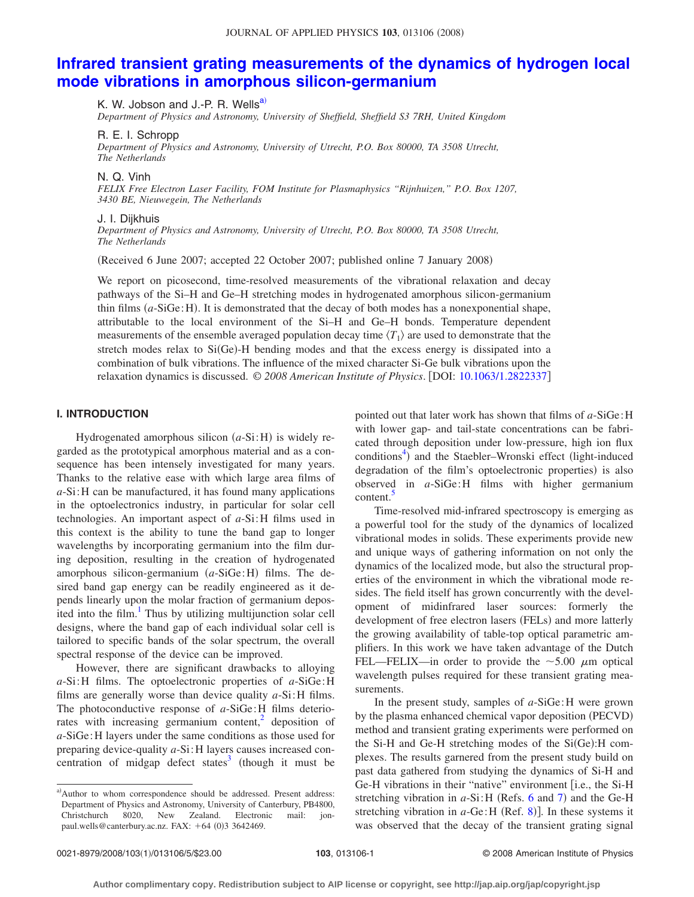# **[Infrared transient grating measurements of the dynamics of hydrogen local](http://dx.doi.org/10.1063/1.2822337) [mode vibrations in amorphous silicon-germanium](http://dx.doi.org/10.1063/1.2822337)**

K. W. Jobson and J.-P. R. Wells<sup>a)</sup>

*Department of Physics and Astronomy, University of Sheffield, Sheffield S3 7RH, United Kingdom*

R. E. I. Schropp

*Department of Physics and Astronomy, University of Utrecht, P.O. Box 80000, TA 3508 Utrecht, The Netherlands*

N. Q. Vinh

*FELIX Free Electron Laser Facility, FOM Institute for Plasmaphysics "Rijnhuizen," P.O. Box 1207, 3430 BE, Nieuwegein, The Netherlands*

## J. I. Dijkhuis

*Department of Physics and Astronomy, University of Utrecht, P.O. Box 80000, TA 3508 Utrecht, The Netherlands*

(Received 6 June 2007; accepted 22 October 2007; published online 7 January 2008)

We report on picosecond, time-resolved measurements of the vibrational relaxation and decay pathways of the Si–H and Ge–H stretching modes in hydrogenated amorphous silicon-germanium thin films (a-SiGe: H). It is demonstrated that the decay of both modes has a nonexponential shape, attributable to the local environment of the Si–H and Ge–H bonds. Temperature dependent measurements of the ensemble averaged population decay time  $\langle T_1 \rangle$  are used to demonstrate that the stretch modes relax to  $Si(Ge)$ -H bending modes and that the excess energy is dissipated into a combination of bulk vibrations. The influence of the mixed character Si-Ge bulk vibrations upon the relaxation dynamics is discussed. © *2008 American Institute of Physics*. DOI: [10.1063/1.2822337](http://dx.doi.org/10.1063/1.2822337)

### **I. INTRODUCTION**

Hydrogenated amorphous silicon (a-Si:H) is widely regarded as the prototypical amorphous material and as a consequence has been intensely investigated for many years. Thanks to the relative ease with which large area films of *a*-Si:H can be manufactured, it has found many applications in the optoelectronics industry, in particular for solar cell technologies. An important aspect of *a*-Si:H films used in this context is the ability to tune the band gap to longer wavelengths by incorporating germanium into the film during deposition, resulting in the creation of hydrogenated amorphous silicon-germanium (a-SiGe: H) films. The desired band gap energy can be readily engineered as it depends linearly upon the molar fraction of germanium deposited into the film. $\frac{1}{1}$  Thus by utilizing multijunction solar cell designs, where the band gap of each individual solar cell is tailored to specific bands of the solar spectrum, the overall spectral response of the device can be improved.

However, there are significant drawbacks to alloying *a*-Si:H films. The optoelectronic properties of *a*-SiGe:H films are generally worse than device quality *a*-Si:H films. The photoconductive response of *a*-SiGe:H films deteriorates with increasing germanium content, $^{2}$  deposition of *a*-SiGe:H layers under the same conditions as those used for preparing device-quality *a*-Si:H layers causes increased concentration of midgap defect states<sup>3</sup> (though it must be

pointed out that later work has shown that films of *a*-SiGe:H with lower gap- and tail-state concentrations can be fabricated through deposition under low-pressure, high ion flux conditions<sup>4</sup>) and the Staebler-Wronski effect (light-induced degradation of the film's optoelectronic properties) is also observed in *a*-SiGe:H films with higher germanium content.<sup>5</sup>

Time-resolved mid-infrared spectroscopy is emerging as a powerful tool for the study of the dynamics of localized vibrational modes in solids. These experiments provide new and unique ways of gathering information on not only the dynamics of the localized mode, but also the structural properties of the environment in which the vibrational mode resides. The field itself has grown concurrently with the development of midinfrared laser sources: formerly the development of free electron lasers (FELs) and more latterly the growing availability of table-top optical parametric amplifiers. In this work we have taken advantage of the Dutch FEL—FELIX—in order to provide the  $\sim$  5.00  $\mu$ m optical wavelength pulses required for these transient grating measurements.

In the present study, samples of *a*-SiGe:H were grown by the plasma enhanced chemical vapor deposition (PECVD) method and transient grating experiments were performed on the Si-H and Ge-H stretching modes of the Si(Ge):H complexes. The results garnered from the present study build on past data gathered from studying the dynamics of Si-H and Ge-H vibrations in their "native" environment [i.e., the Si-H stretching vibration in a-Si: H (Refs. [6](#page-4-5) and [7](#page-4-6)) and the Ge-H stretching vibration in *a*-Ge: H (Ref. [8](#page-4-7))]. In these systems it was observed that the decay of the transient grating signal

<span id="page-0-0"></span>a)Author to whom correspondence should be addressed. Present address: Department of Physics and Astronomy, University of Canterbury, PB4800, Christchurch 8020, New Zealand. Electronic mail: jonpaul.wells@canterbury.ac.nz. FAX: +64 (0)3 3642469.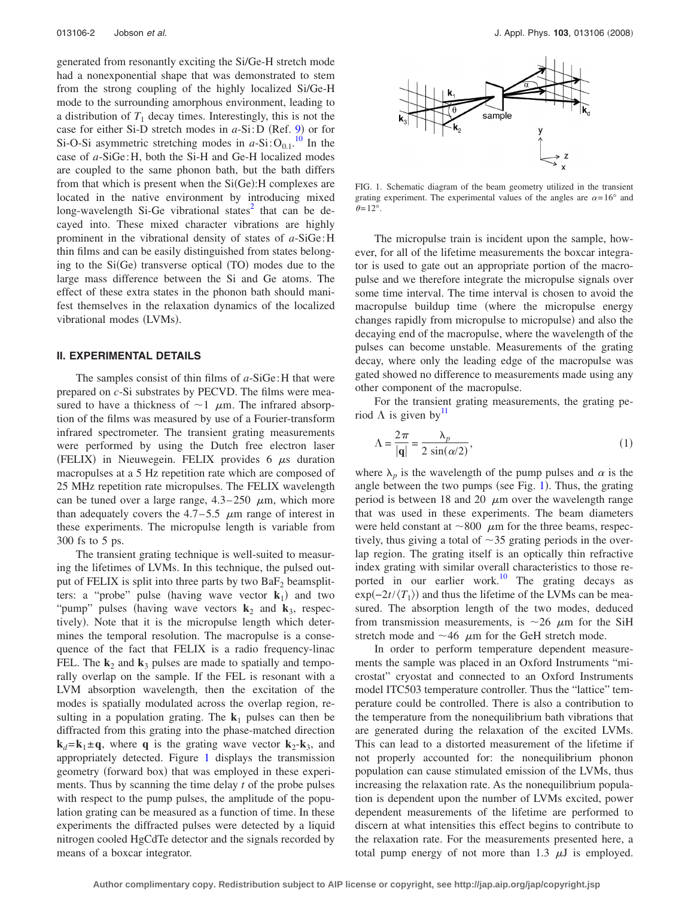generated from resonantly exciting the Si/Ge-H stretch mode had a nonexponential shape that was demonstrated to stem from the strong coupling of the highly localized Si/Ge-H mode to the surrounding amorphous environment, leading to a distribution of  $T_1$  decay times. Interestingly, this is not the case for either Si-D stretch modes in *a*-Si:D (Ref. [9](#page-4-8)) or for Si-O-Si asymmetric stretching modes in  $a$ -Si: $O_{0.1}$ .<sup>[10](#page-4-9)</sup> In the case of *a*-SiGe:H, both the Si-H and Ge-H localized modes are coupled to the same phonon bath, but the bath differs from that which is present when the Si(Ge): H complexes are located in the native environment by introducing mixed long-wavelength Si-Ge vibrational states $2$  that can be decayed into. These mixed character vibrations are highly prominent in the vibrational density of states of *a*-SiGe:H thin films and can be easily distinguished from states belonging to the  $Si(Ge)$  transverse optical  $(TO)$  modes due to the large mass difference between the Si and Ge atoms. The effect of these extra states in the phonon bath should manifest themselves in the relaxation dynamics of the localized vibrational modes (LVMs).

### **II. EXPERIMENTAL DETAILS**

The samples consist of thin films of *a*-SiGe:H that were prepared on *c*-Si substrates by PECVD. The films were measured to have a thickness of  $\sim$  1  $\mu$ m. The infrared absorption of the films was measured by use of a Fourier-transform infrared spectrometer. The transient grating measurements were performed by using the Dutch free electron laser (FELIX) in Nieuwegein. FELIX provides  $6 \mu s$  duration macropulses at a 5 Hz repetition rate which are composed of 25 MHz repetition rate micropulses. The FELIX wavelength can be tuned over a large range,  $4.3-250 \mu m$ , which more than adequately covers the  $4.7-5.5$   $\mu$ m range of interest in these experiments. The micropulse length is variable from 300 fs to 5 ps.

The transient grating technique is well-suited to measuring the lifetimes of LVMs. In this technique, the pulsed output of FELIX is split into three parts by two  $BaF<sub>2</sub>$  beamsplitters: a "probe" pulse (having wave vector  $\mathbf{k}_1$ ) and two "pump" pulses (having wave vectors  $\mathbf{k}_2$  and  $\mathbf{k}_3$ , respectively). Note that it is the micropulse length which determines the temporal resolution. The macropulse is a consequence of the fact that FELIX is a radio frequency-linac FEL. The  $\mathbf{k}_2$  and  $\mathbf{k}_3$  pulses are made to spatially and temporally overlap on the sample. If the FEL is resonant with a LVM absorption wavelength, then the excitation of the modes is spatially modulated across the overlap region, resulting in a population grating. The  $\mathbf{k}_1$  pulses can then be diffracted from this grating into the phase-matched direction  $k_d = k_1 \pm q$ , where q is the grating wave vector  $k_2 - k_3$ , and appropriately detected. Figure [1](#page-1-0) displays the transmission geometry (forward box) that was employed in these experiments. Thus by scanning the time delay *t* of the probe pulses with respect to the pump pulses, the amplitude of the population grating can be measured as a function of time. In these experiments the diffracted pulses were detected by a liquid nitrogen cooled HgCdTe detector and the signals recorded by means of a boxcar integrator.

<span id="page-1-0"></span>

FIG. 1. Schematic diagram of the beam geometry utilized in the transient grating experiment. The experimental values of the angles are  $\alpha = 16^{\circ}$  and  $\theta$ =12°.

The micropulse train is incident upon the sample, however, for all of the lifetime measurements the boxcar integrator is used to gate out an appropriate portion of the macropulse and we therefore integrate the micropulse signals over some time interval. The time interval is chosen to avoid the macropulse buildup time (where the micropulse energy changes rapidly from micropulse to micropulse) and also the decaying end of the macropulse, where the wavelength of the pulses can become unstable. Measurements of the grating decay, where only the leading edge of the macropulse was gated showed no difference to measurements made using any other component of the macropulse.

For the transient grating measurements, the grating period  $\Lambda$  is given by  $\mathbf{I}^{\mathrm{II}}$ 

$$
\Lambda = \frac{2\pi}{|\mathbf{q}|} = \frac{\lambda_p}{2\sin(\alpha/2)},\tag{1}
$$

where  $\lambda_p$  is the wavelength of the pump pulses and  $\alpha$  is the angle between the two pumps (see Fig.  $1$ ). Thus, the grating period is between 18 and 20  $\mu$ m over the wavelength range that was used in these experiments. The beam diameters were held constant at  $\sim 800 \mu$ m for the three beams, respectively, thus giving a total of  $\sim$ 35 grating periods in the overlap region. The grating itself is an optically thin refractive index grating with similar overall characteristics to those reported in our earlier work.<sup>10</sup> The grating decays as  $\exp(-2t/\langle T_1 \rangle)$  and thus the lifetime of the LVMs can be measured. The absorption length of the two modes, deduced from transmission measurements, is  $\sim$ 26  $\mu$ m for the SiH stretch mode and  $\sim$  46  $\mu$ m for the GeH stretch mode.

In order to perform temperature dependent measurements the sample was placed in an Oxford Instruments "microstat" cryostat and connected to an Oxford Instruments model ITC503 temperature controller. Thus the "lattice" temperature could be controlled. There is also a contribution to the temperature from the nonequilibrium bath vibrations that are generated during the relaxation of the excited LVMs. This can lead to a distorted measurement of the lifetime if not properly accounted for: the nonequilibrium phonon population can cause stimulated emission of the LVMs, thus increasing the relaxation rate. As the nonequilibrium population is dependent upon the number of LVMs excited, power dependent measurements of the lifetime are performed to discern at what intensities this effect begins to contribute to the relaxation rate. For the measurements presented here, a total pump energy of not more than 1.3  $\mu$ J is employed.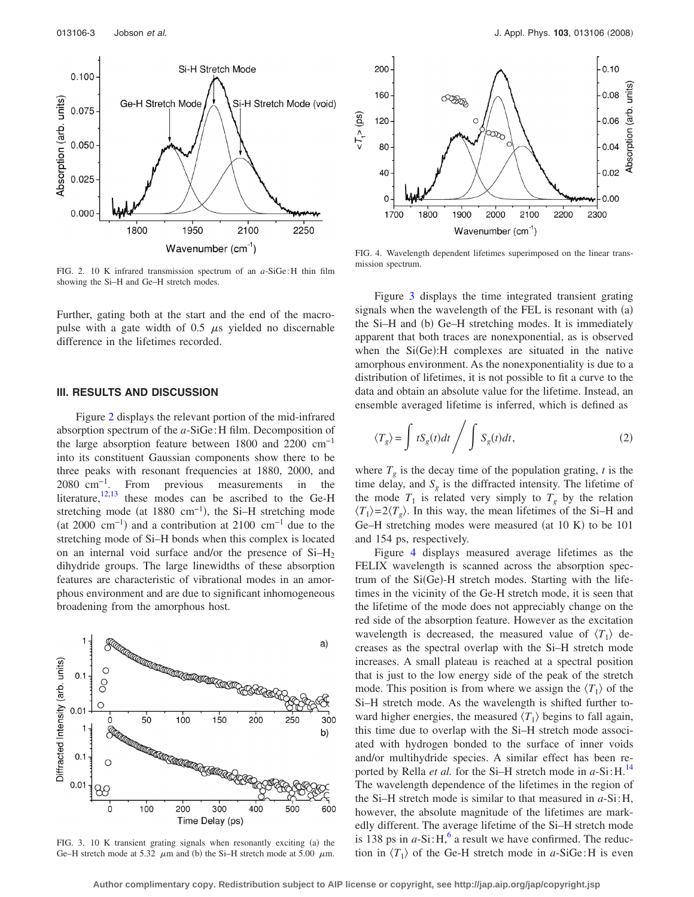<span id="page-2-0"></span>

FIG. 2. 10 K infrared transmission spectrum of an *a*-SiGe:H thin film showing the Si–H and Ge–H stretch modes.

Further, gating both at the start and the end of the macropulse with a gate width of 0.5  $\mu$ s yielded no discernable difference in the lifetimes recorded.

#### **III. RESULTS AND DISCUSSION**

Figure [2](#page-2-0) displays the relevant portion of the mid-infrared absorption spectrum of the *a*-SiGe:H film. Decomposition of the large absorption feature between 1800 and 2200 cm−1 into its constituent Gaussian components show there to be three peaks with resonant frequencies at 1880, 2000, and 2080 cm−1. From previous measurements in the literature, $12,13$  $12,13$  these modes can be ascribed to the Ge-H stretching mode (at 1880 cm<sup>-1</sup>), the Si–H stretching mode (at 2000 cm<sup>-1</sup>) and a contribution at 2100 cm<sup>-1</sup> due to the stretching mode of Si–H bonds when this complex is located on an internal void surface and/or the presence of  $Si-H<sub>2</sub>$ dihydride groups. The large linewidths of these absorption features are characteristic of vibrational modes in an amorphous environment and are due to significant inhomogeneous broadening from the amorphous host.

<span id="page-2-1"></span>

FIG. 3. 10 K transient grating signals when resonantly exciting (a) the Ge–H stretch mode at 5.32  $\mu$ m and (b) the Si–H stretch mode at 5.00  $\mu$ m.

<span id="page-2-2"></span>

FIG. 4. Wavelength dependent lifetimes superimposed on the linear transmission spectrum.

Figure [3](#page-2-1) displays the time integrated transient grating signals when the wavelength of the FEL is resonant with (a) the Si-H and (b) Ge-H stretching modes. It is immediately apparent that both traces are nonexponential, as is observed when the  $Si(Ge)$ : H complexes are situated in the native amorphous environment. As the nonexponentiality is due to a distribution of lifetimes, it is not possible to fit a curve to the data and obtain an absolute value for the lifetime. Instead, an ensemble averaged lifetime is inferred, which is defined as

<span id="page-2-3"></span>
$$
\langle T_g \rangle = \int tS_g(t)dt \bigg/ \int S_g(t)dt,
$$
\n(2)

where  $T_g$  is the decay time of the population grating, *t* is the time delay, and  $S_g$  is the diffracted intensity. The lifetime of the mode  $T_1$  is related very simply to  $T_g$  by the relation  $\langle T_1 \rangle = 2 \langle T_2 \rangle$ . In this way, the mean lifetimes of the Si–H and Ge-H stretching modes were measured (at  $10 K$ ) to be  $101$ and 154 ps, respectively.

Figure [4](#page-2-2) displays measured average lifetimes as the FELIX wavelength is scanned across the absorption spectrum of the Si(Ge)-H stretch modes. Starting with the lifetimes in the vicinity of the Ge-H stretch mode, it is seen that the lifetime of the mode does not appreciably change on the red side of the absorption feature. However as the excitation wavelength is decreased, the measured value of  $\langle T_1 \rangle$  decreases as the spectral overlap with the Si–H stretch mode increases. A small plateau is reached at a spectral position that is just to the low energy side of the peak of the stretch mode. This position is from where we assign the  $\langle T_1 \rangle$  of the Si–H stretch mode. As the wavelength is shifted further toward higher energies, the measured  $\langle T_1 \rangle$  begins to fall again, this time due to overlap with the Si–H stretch mode associated with hydrogen bonded to the surface of inner voids and/or multihydride species. A similar effect has been reported by Rella *et al.* for the Si–H stretch mode in *a*-Si:H.[14](#page-4-13) The wavelength dependence of the lifetimes in the region of the Si–H stretch mode is similar to that measured in *a*-Si:H, however, the absolute magnitude of the lifetimes are markedly different. The average lifetime of the Si–H stretch mode is 138 ps in  $a-Si:H$ ,<sup>6</sup> a result we have confirmed. The reduction in  $\langle T_1 \rangle$  of the Ge-H stretch mode in *a*-SiGe:H is even

**Author complimentary copy. Redistribution subject to AIP license or copyright, see http://jap.aip.org/jap/copyright.jsp**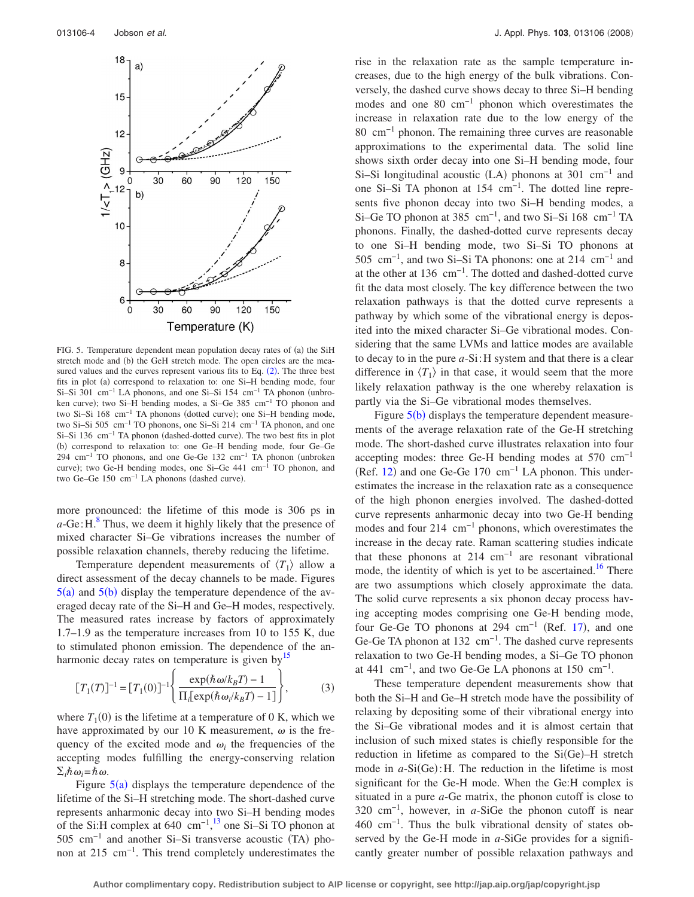<span id="page-3-0"></span>

FIG. 5. Temperature dependent mean population decay rates of (a) the SiH stretch mode and (b) the GeH stretch mode. The open circles are the measured values and the curves represent various fits to Eq.  $(2)$  $(2)$  $(2)$ . The three best fits in plot (a) correspond to relaxation to: one Si-H bending mode, four Si–Si 301 cm<sup>-1</sup> LA phonons, and one Si–Si 154 cm<sup>-1</sup> TA phonon (unbroken curve); two Si–H bending modes, a Si–Ge 385 cm<sup>-1</sup> TO phonon and two Si–Si 168 cm<sup>-1</sup> TA phonons (dotted curve); one Si–H bending mode, two Si–Si 505 cm−1 TO phonons, one Si–Si 214 cm−1 TA phonon, and one Si–Si 136 cm<sup>-1</sup> TA phonon (dashed-dotted curve). The two best fits in plot (b) correspond to relaxation to: one Ge-H bending mode, four Ge-Ge 294 cm<sup>-1</sup> TO phonons, and one Ge-Ge 132 cm<sup>-1</sup> TA phonon (unbroken curve); two Ge-H bending modes, one Si–Ge  $441 \text{ cm}^{-1}$  TO phonon, and two Ge–Ge 150 cm<sup>-1</sup> LA phonons (dashed curve).

more pronounced: the lifetime of this mode is 306 ps in  $a$ -Ge: H. $^8$  $^8$  Thus, we deem it highly likely that the presence of mixed character Si–Ge vibrations increases the number of possible relaxation channels, thereby reducing the lifetime.

Temperature dependent measurements of  $\langle T_1 \rangle$  allow a direct assessment of the decay channels to be made. Figures  $5(a)$  $5(a)$  and  $5(b)$  display the temperature dependence of the averaged decay rate of the Si–H and Ge–H modes, respectively. The measured rates increase by factors of approximately 1.7–1.9 as the temperature increases from 10 to 155 K, due to stimulated phonon emission. The dependence of the anharmonic decay rates on temperature is given by $\frac{15}{2}$ 

$$
[T_1(T)]^{-1} = [T_1(0)]^{-1} \left\{ \frac{\exp(\hbar \omega / k_B T) - 1}{\Pi_i[\exp(\hbar \omega_i / k_B T) - 1]} \right\},
$$
 (3)

where  $T_1(0)$  is the lifetime at a temperature of 0 K, which we have approximated by our 10 K measurement,  $\omega$  is the frequency of the excited mode and  $\omega_i$  the frequencies of the accepting modes fulfilling the energy-conserving relation  $\Sigma_i \hbar \omega_i = \hbar \omega$ .

Figure  $5(a)$  $5(a)$  displays the temperature dependence of the lifetime of the Si–H stretching mode. The short-dashed curve represents anharmonic decay into two Si–H bending modes of the Si:H complex at  $640 \text{ cm}^{-1}$ ,<sup>[13](#page-4-12)</sup> one Si–Si TO phonon at 505 cm<sup>-1</sup> and another Si–Si transverse acoustic (TA) phonon at 215 cm<sup>-1</sup>. This trend completely underestimates the rise in the relaxation rate as the sample temperature increases, due to the high energy of the bulk vibrations. Conversely, the dashed curve shows decay to three Si–H bending modes and one 80 cm−1 phonon which overestimates the increase in relaxation rate due to the low energy of the 80 cm−1 phonon. The remaining three curves are reasonable approximations to the experimental data. The solid line shows sixth order decay into one Si–H bending mode, four Si–Si longitudinal acoustic  $(LA)$  phonons at 301 cm<sup>-1</sup> and one Si–Si TA phonon at 154 cm−1. The dotted line represents five phonon decay into two Si–H bending modes, a Si–Ge TO phonon at 385 cm<sup>-1</sup>, and two Si–Si 168 cm<sup>-1</sup> TA phonons. Finally, the dashed-dotted curve represents decay to one Si–H bending mode, two Si–Si TO phonons at 505 cm<sup>-1</sup>, and two Si–Si TA phonons: one at 214 cm<sup>-1</sup> and at the other at 136 cm−1. The dotted and dashed-dotted curve fit the data most closely. The key difference between the two relaxation pathways is that the dotted curve represents a pathway by which some of the vibrational energy is deposited into the mixed character Si–Ge vibrational modes. Considering that the same LVMs and lattice modes are available to decay to in the pure *a*-Si:H system and that there is a clear difference in  $\langle T_1 \rangle$  in that case, it would seem that the more likely relaxation pathway is the one whereby relaxation is partly via the Si–Ge vibrational modes themselves.

Figure  $5(b)$  $5(b)$  displays the temperature dependent measurements of the average relaxation rate of the Ge-H stretching mode. The short-dashed curve illustrates relaxation into four accepting modes: three Ge-H bending modes at 570 cm−1 (Ref. [12](#page-4-11)) and one Ge-Ge 170  $cm^{-1}$  LA phonon. This underestimates the increase in the relaxation rate as a consequence of the high phonon energies involved. The dashed-dotted curve represents anharmonic decay into two Ge-H bending modes and four 214 cm<sup>-1</sup> phonons, which overestimates the increase in the decay rate. Raman scattering studies indicate that these phonons at 214 cm−1 are resonant vibrational mode, the identity of which is yet to be ascertained.<sup>16</sup> There are two assumptions which closely approximate the data. The solid curve represents a six phonon decay process having accepting modes comprising one Ge-H bending mode, four Ge-Ge TO phonons at 294  $cm^{-1}$  (Ref. [17](#page-4-16)), and one Ge-Ge TA phonon at 132 cm<sup>-1</sup>. The dashed curve represents relaxation to two Ge-H bending modes, a Si–Ge TO phonon at 441 cm<sup>-1</sup>, and two Ge-Ge LA phonons at 150 cm<sup>-1</sup>.

These temperature dependent measurements show that both the Si–H and Ge–H stretch mode have the possibility of relaxing by depositing some of their vibrational energy into the Si–Ge vibrational modes and it is almost certain that inclusion of such mixed states is chiefly responsible for the reduction in lifetime as compared to the Si(Ge)-H stretch mode in  $a-Si(Ge)$ : H. The reduction in the lifetime is most significant for the Ge-H mode. When the Ge:H complex is situated in a pure *a*-Ge matrix, the phonon cutoff is close to 320 cm−1, however, in *a*-SiGe the phonon cutoff is near 460 cm−1. Thus the bulk vibrational density of states observed by the Ge-H mode in *a*-SiGe provides for a significantly greater number of possible relaxation pathways and